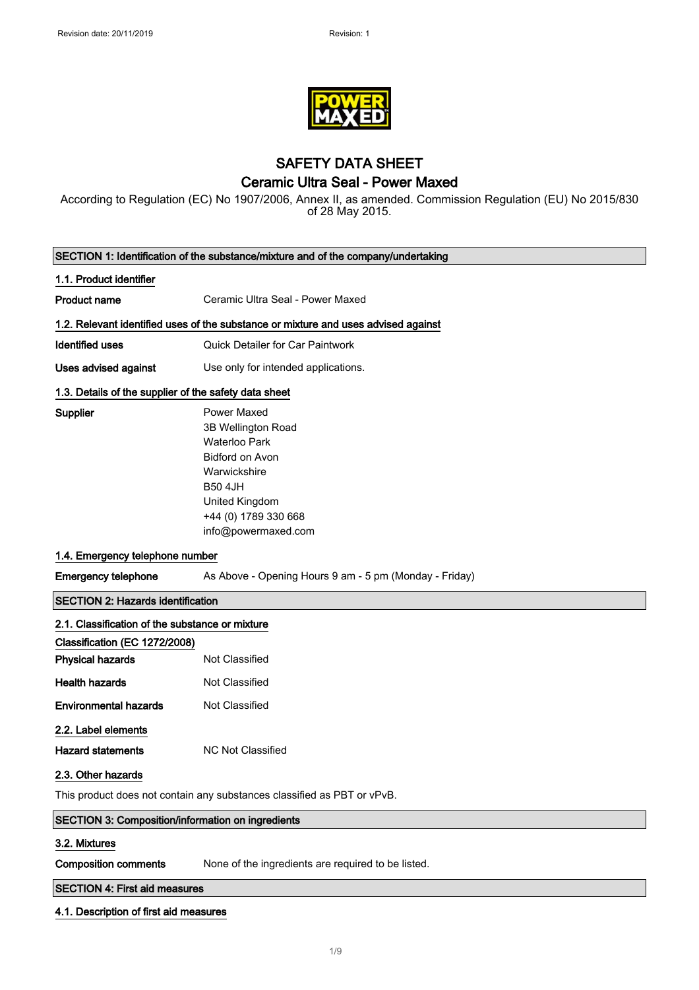

# SAFETY DATA SHEET Ceramic Ultra Seal - Power Maxed

According to Regulation (EC) No 1907/2006, Annex II, as amended. Commission Regulation (EU) No 2015/830 of 28 May 2015.

| SECTION 1: Identification of the substance/mixture and of the company/undertaking |                                                                                                                                                                                        |  |
|-----------------------------------------------------------------------------------|----------------------------------------------------------------------------------------------------------------------------------------------------------------------------------------|--|
| 1.1. Product identifier                                                           |                                                                                                                                                                                        |  |
| <b>Product name</b>                                                               | Ceramic Ultra Seal - Power Maxed                                                                                                                                                       |  |
|                                                                                   | 1.2. Relevant identified uses of the substance or mixture and uses advised against                                                                                                     |  |
| <b>Identified uses</b>                                                            | Quick Detailer for Car Paintwork                                                                                                                                                       |  |
| Uses advised against                                                              | Use only for intended applications.                                                                                                                                                    |  |
| 1.3. Details of the supplier of the safety data sheet                             |                                                                                                                                                                                        |  |
| Supplier                                                                          | <b>Power Maxed</b><br>3B Wellington Road<br><b>Waterloo Park</b><br>Bidford on Avon<br>Warwickshire<br><b>B50 4JH</b><br>United Kingdom<br>+44 (0) 1789 330 668<br>info@powermaxed.com |  |
|                                                                                   | 1.4. Emergency telephone number                                                                                                                                                        |  |
| <b>Emergency telephone</b>                                                        | As Above - Opening Hours 9 am - 5 pm (Monday - Friday)                                                                                                                                 |  |
| <b>SECTION 2: Hazards identification</b>                                          |                                                                                                                                                                                        |  |
| 2.1. Classification of the substance or mixture                                   |                                                                                                                                                                                        |  |
| Classification (EC 1272/2008)                                                     |                                                                                                                                                                                        |  |
| <b>Physical hazards</b>                                                           | Not Classified                                                                                                                                                                         |  |
| <b>Health hazards</b>                                                             | Not Classified                                                                                                                                                                         |  |
| <b>Environmental hazards</b>                                                      | Not Classified                                                                                                                                                                         |  |
| 2.2. Label elements<br><b>Hazard statements</b><br>2.3. Other hazards             | <b>NC Not Classified</b>                                                                                                                                                               |  |
|                                                                                   | This product does not contain any substances classified as PBT or vPvB.                                                                                                                |  |
| <b>SECTION 3: Composition/information on ingredients</b>                          |                                                                                                                                                                                        |  |
| 3.2. Mixtures                                                                     |                                                                                                                                                                                        |  |
| <b>Composition comments</b>                                                       | None of the ingredients are required to be listed.                                                                                                                                     |  |
|                                                                                   | <b>SECTION 4: First aid measures</b>                                                                                                                                                   |  |

# 4.1. Description of first aid measures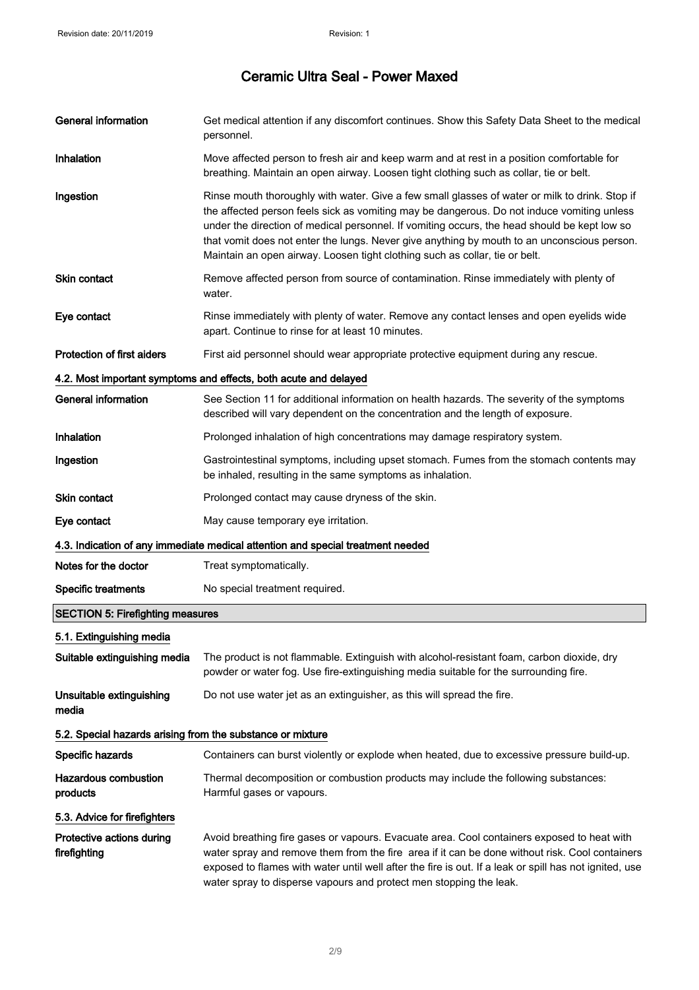| <b>General information</b>                                 | Get medical attention if any discomfort continues. Show this Safety Data Sheet to the medical<br>personnel.                                                                                                                                                                                                                                                                                                                                                                |
|------------------------------------------------------------|----------------------------------------------------------------------------------------------------------------------------------------------------------------------------------------------------------------------------------------------------------------------------------------------------------------------------------------------------------------------------------------------------------------------------------------------------------------------------|
| Inhalation                                                 | Move affected person to fresh air and keep warm and at rest in a position comfortable for<br>breathing. Maintain an open airway. Loosen tight clothing such as collar, tie or belt.                                                                                                                                                                                                                                                                                        |
| Ingestion                                                  | Rinse mouth thoroughly with water. Give a few small glasses of water or milk to drink. Stop if<br>the affected person feels sick as vomiting may be dangerous. Do not induce vomiting unless<br>under the direction of medical personnel. If vomiting occurs, the head should be kept low so<br>that vomit does not enter the lungs. Never give anything by mouth to an unconscious person.<br>Maintain an open airway. Loosen tight clothing such as collar, tie or belt. |
| Skin contact                                               | Remove affected person from source of contamination. Rinse immediately with plenty of<br>water.                                                                                                                                                                                                                                                                                                                                                                            |
| Eye contact                                                | Rinse immediately with plenty of water. Remove any contact lenses and open eyelids wide<br>apart. Continue to rinse for at least 10 minutes.                                                                                                                                                                                                                                                                                                                               |
| <b>Protection of first aiders</b>                          | First aid personnel should wear appropriate protective equipment during any rescue.                                                                                                                                                                                                                                                                                                                                                                                        |
|                                                            | 4.2. Most important symptoms and effects, both acute and delayed                                                                                                                                                                                                                                                                                                                                                                                                           |
| <b>General information</b>                                 | See Section 11 for additional information on health hazards. The severity of the symptoms<br>described will vary dependent on the concentration and the length of exposure.                                                                                                                                                                                                                                                                                                |
| Inhalation                                                 | Prolonged inhalation of high concentrations may damage respiratory system.                                                                                                                                                                                                                                                                                                                                                                                                 |
| Ingestion                                                  | Gastrointestinal symptoms, including upset stomach. Fumes from the stomach contents may<br>be inhaled, resulting in the same symptoms as inhalation.                                                                                                                                                                                                                                                                                                                       |
| Skin contact                                               | Prolonged contact may cause dryness of the skin.                                                                                                                                                                                                                                                                                                                                                                                                                           |
| Eye contact                                                | May cause temporary eye irritation.                                                                                                                                                                                                                                                                                                                                                                                                                                        |
|                                                            | 4.3. Indication of any immediate medical attention and special treatment needed                                                                                                                                                                                                                                                                                                                                                                                            |
| Notes for the doctor                                       | Treat symptomatically.                                                                                                                                                                                                                                                                                                                                                                                                                                                     |
| <b>Specific treatments</b>                                 | No special treatment required.                                                                                                                                                                                                                                                                                                                                                                                                                                             |
| <b>SECTION 5: Firefighting measures</b>                    |                                                                                                                                                                                                                                                                                                                                                                                                                                                                            |
| 5.1. Extinguishing media                                   |                                                                                                                                                                                                                                                                                                                                                                                                                                                                            |
| Suitable extinguishing media                               | The product is not flammable. Extinguish with alcohol-resistant foam, carbon dioxide, dry<br>powder or water fog. Use fire-extinguishing media suitable for the surrounding fire.                                                                                                                                                                                                                                                                                          |
| Unsuitable extinguishing<br>media                          | Do not use water jet as an extinguisher, as this will spread the fire.                                                                                                                                                                                                                                                                                                                                                                                                     |
| 5.2. Special hazards arising from the substance or mixture |                                                                                                                                                                                                                                                                                                                                                                                                                                                                            |
| Specific hazards                                           | Containers can burst violently or explode when heated, due to excessive pressure build-up.                                                                                                                                                                                                                                                                                                                                                                                 |
| <b>Hazardous combustion</b><br>products                    | Thermal decomposition or combustion products may include the following substances:<br>Harmful gases or vapours.                                                                                                                                                                                                                                                                                                                                                            |
| 5.3. Advice for firefighters                               |                                                                                                                                                                                                                                                                                                                                                                                                                                                                            |
| Protective actions during<br>firefighting                  | Avoid breathing fire gases or vapours. Evacuate area. Cool containers exposed to heat with<br>water spray and remove them from the fire area if it can be done without risk. Cool containers<br>exposed to flames with water until well after the fire is out. If a leak or spill has not ignited, use<br>water spray to disperse vapours and protect men stopping the leak.                                                                                               |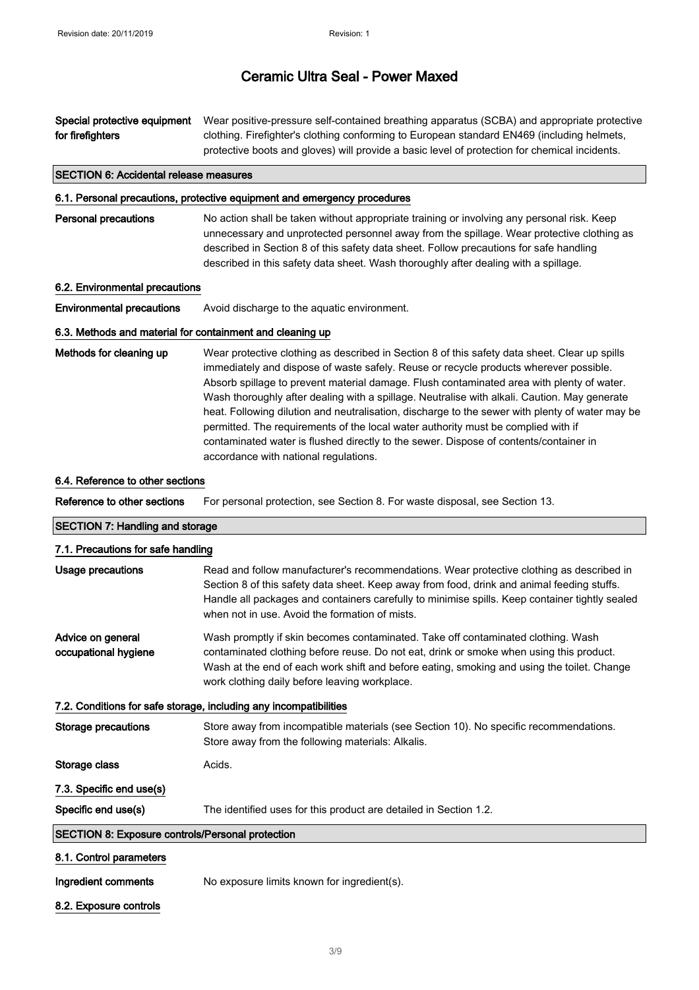Special protective equipment for firefighters Wear positive-pressure self-contained breathing apparatus (SCBA) and appropriate protective clothing. Firefighter's clothing conforming to European standard EN469 (including helmets, protective boots and gloves) will provide a basic level of protection for chemical incidents.

#### SECTION 6: Accidental release measures

#### 6.1. Personal precautions, protective equipment and emergency procedures

Personal precautions No action shall be taken without appropriate training or involving any personal risk. Keep unnecessary and unprotected personnel away from the spillage. Wear protective clothing as described in Section 8 of this safety data sheet. Follow precautions for safe handling described in this safety data sheet. Wash thoroughly after dealing with a spillage.

#### 6.2. Environmental precautions

**Environmental precautions** Avoid discharge to the aquatic environment.

#### 6.3. Methods and material for containment and cleaning up

Methods for cleaning up Wear protective clothing as described in Section 8 of this safety data sheet. Clear up spills immediately and dispose of waste safely. Reuse or recycle products wherever possible. Absorb spillage to prevent material damage. Flush contaminated area with plenty of water. Wash thoroughly after dealing with a spillage. Neutralise with alkali. Caution. May generate heat. Following dilution and neutralisation, discharge to the sewer with plenty of water may be permitted. The requirements of the local water authority must be complied with if contaminated water is flushed directly to the sewer. Dispose of contents/container in accordance with national regulations.

#### 6.4. Reference to other sections

Reference to other sections For personal protection, see Section 8. For waste disposal, see Section 13.

#### SECTION 7: Handling and storage

| 7.1. Precautions for safe handling                                |                                                                                                                                                                                                                                                                                                                                            |
|-------------------------------------------------------------------|--------------------------------------------------------------------------------------------------------------------------------------------------------------------------------------------------------------------------------------------------------------------------------------------------------------------------------------------|
| <b>Usage precautions</b>                                          | Read and follow manufacturer's recommendations. Wear protective clothing as described in<br>Section 8 of this safety data sheet. Keep away from food, drink and animal feeding stuffs.<br>Handle all packages and containers carefully to minimise spills. Keep container tightly sealed<br>when not in use. Avoid the formation of mists. |
| Advice on general<br>occupational hygiene                         | Wash promptly if skin becomes contaminated. Take off contaminated clothing. Wash<br>contaminated clothing before reuse. Do not eat, drink or smoke when using this product.<br>Wash at the end of each work shift and before eating, smoking and using the toilet. Change<br>work clothing daily before leaving workplace.                 |
| 7.2. Conditions for safe storage, including any incompatibilities |                                                                                                                                                                                                                                                                                                                                            |
| <b>Storage precautions</b>                                        | Store away from incompatible materials (see Section 10). No specific recommendations.<br>Store away from the following materials: Alkalis.                                                                                                                                                                                                 |
| Storage class                                                     | Acids.                                                                                                                                                                                                                                                                                                                                     |
| 7.3. Specific end use(s)                                          |                                                                                                                                                                                                                                                                                                                                            |
| Specific end use(s)                                               | The identified uses for this product are detailed in Section 1.2.                                                                                                                                                                                                                                                                          |
| SECTION 8: Exposure controls/Personal protection                  |                                                                                                                                                                                                                                                                                                                                            |
| 8.1. Control parameters                                           |                                                                                                                                                                                                                                                                                                                                            |
| Ingredient comments                                               | No exposure limits known for ingredient(s).                                                                                                                                                                                                                                                                                                |
| 8.2. Exposure controls                                            |                                                                                                                                                                                                                                                                                                                                            |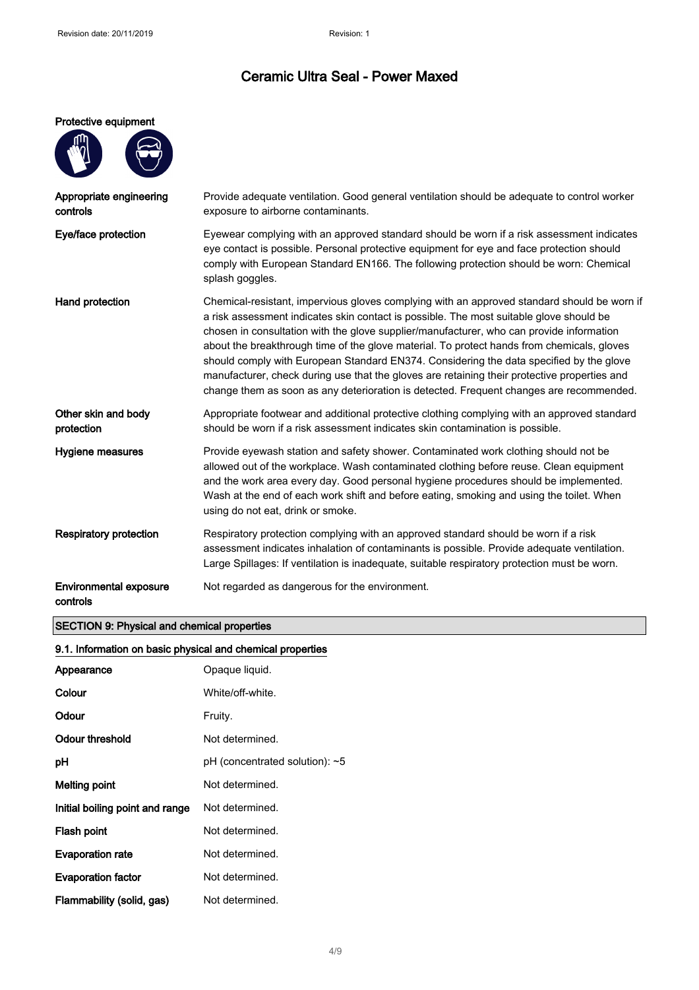#### Protective equipment

| Appropriate engineering<br>controls       | Provide adequate ventilation. Good general ventilation should be adequate to control worker<br>exposure to airborne contaminants.                                                                                                                                                                                                                                                                                                                                                                                                                                                                                                                                      |
|-------------------------------------------|------------------------------------------------------------------------------------------------------------------------------------------------------------------------------------------------------------------------------------------------------------------------------------------------------------------------------------------------------------------------------------------------------------------------------------------------------------------------------------------------------------------------------------------------------------------------------------------------------------------------------------------------------------------------|
| Eye/face protection                       | Eyewear complying with an approved standard should be worn if a risk assessment indicates<br>eye contact is possible. Personal protective equipment for eye and face protection should<br>comply with European Standard EN166. The following protection should be worn: Chemical<br>splash goggles.                                                                                                                                                                                                                                                                                                                                                                    |
| Hand protection                           | Chemical-resistant, impervious gloves complying with an approved standard should be worn if<br>a risk assessment indicates skin contact is possible. The most suitable glove should be<br>chosen in consultation with the glove supplier/manufacturer, who can provide information<br>about the breakthrough time of the glove material. To protect hands from chemicals, gloves<br>should comply with European Standard EN374. Considering the data specified by the glove<br>manufacturer, check during use that the gloves are retaining their protective properties and<br>change them as soon as any deterioration is detected. Frequent changes are recommended. |
| Other skin and body<br>protection         | Appropriate footwear and additional protective clothing complying with an approved standard<br>should be worn if a risk assessment indicates skin contamination is possible.                                                                                                                                                                                                                                                                                                                                                                                                                                                                                           |
| Hygiene measures                          | Provide eyewash station and safety shower. Contaminated work clothing should not be<br>allowed out of the workplace. Wash contaminated clothing before reuse. Clean equipment<br>and the work area every day. Good personal hygiene procedures should be implemented.<br>Wash at the end of each work shift and before eating, smoking and using the toilet. When<br>using do not eat, drink or smoke.                                                                                                                                                                                                                                                                 |
| <b>Respiratory protection</b>             | Respiratory protection complying with an approved standard should be worn if a risk<br>assessment indicates inhalation of contaminants is possible. Provide adequate ventilation.<br>Large Spillages: If ventilation is inadequate, suitable respiratory protection must be worn.                                                                                                                                                                                                                                                                                                                                                                                      |
| <b>Environmental exposure</b><br>controls | Not regarded as dangerous for the environment.                                                                                                                                                                                                                                                                                                                                                                                                                                                                                                                                                                                                                         |

# SECTION 9: Physical and chemical properties

# 9.1. Information on basic physical and chemical properties

| Appearance                      | Opaque liquid.                         |
|---------------------------------|----------------------------------------|
| Colour                          | White/off-white.                       |
| Odour                           | Fruity.                                |
| Odour threshold                 | Not determined.                        |
| рH                              | $pH$ (concentrated solution): $\neg 5$ |
| Melting point                   | Not determined.                        |
| Initial boiling point and range | Not determined.                        |
| Flash point                     | Not determined.                        |
| <b>Evaporation rate</b>         | Not determined.                        |
| <b>Evaporation factor</b>       | Not determined.                        |
| Flammability (solid, gas)       | Not determined.                        |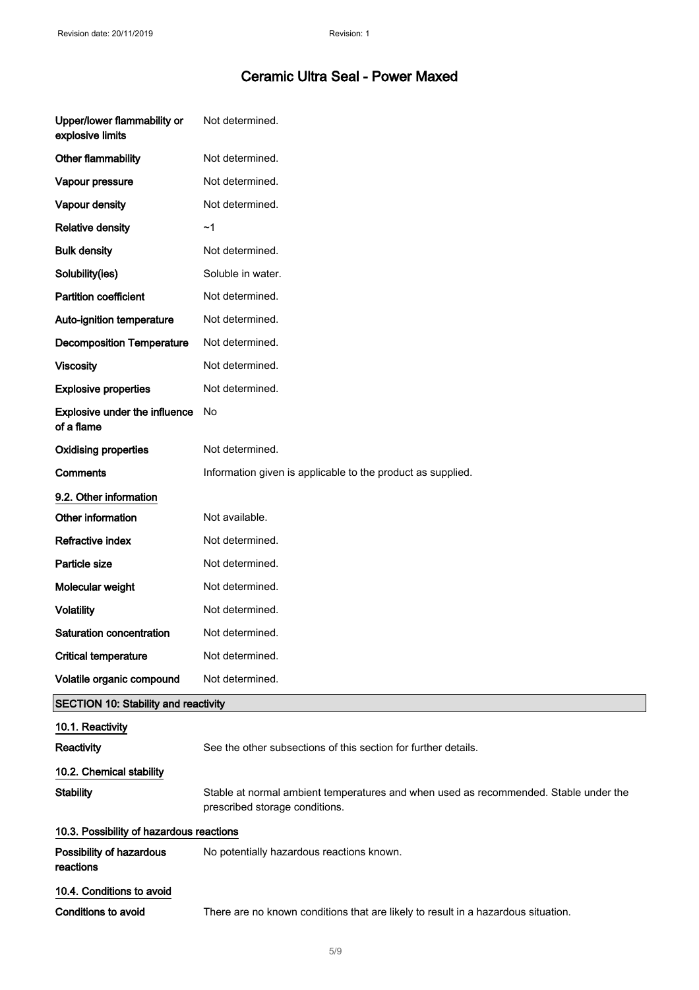| Upper/lower flammability or<br>explosive limits | Not determined.                                                                                                        |
|-------------------------------------------------|------------------------------------------------------------------------------------------------------------------------|
| Other flammability                              | Not determined.                                                                                                        |
| Vapour pressure                                 | Not determined.                                                                                                        |
| Vapour density                                  | Not determined.                                                                                                        |
| <b>Relative density</b>                         | ~1                                                                                                                     |
| <b>Bulk density</b>                             | Not determined.                                                                                                        |
| Solubility(ies)                                 | Soluble in water.                                                                                                      |
| <b>Partition coefficient</b>                    | Not determined.                                                                                                        |
| Auto-ignition temperature                       | Not determined.                                                                                                        |
| <b>Decomposition Temperature</b>                | Not determined.                                                                                                        |
| <b>Viscosity</b>                                | Not determined.                                                                                                        |
| <b>Explosive properties</b>                     | Not determined.                                                                                                        |
| Explosive under the influence<br>of a flame     | No                                                                                                                     |
| <b>Oxidising properties</b>                     | Not determined.                                                                                                        |
| <b>Comments</b>                                 | Information given is applicable to the product as supplied.                                                            |
| 9.2. Other information                          |                                                                                                                        |
| Other information                               | Not available.                                                                                                         |
| <b>Refractive index</b>                         | Not determined.                                                                                                        |
| Particle size                                   | Not determined.                                                                                                        |
| Molecular weight                                | Not determined.                                                                                                        |
| <b>Volatility</b>                               | Not determined.                                                                                                        |
| Saturation concentration                        | Not determined.                                                                                                        |
| <b>Critical temperature</b>                     | Not determined.                                                                                                        |
| Volatile organic compound                       | Not determined.                                                                                                        |
| <b>SECTION 10: Stability and reactivity</b>     |                                                                                                                        |
| 10.1. Reactivity                                |                                                                                                                        |
| Reactivity                                      | See the other subsections of this section for further details.                                                         |
| 10.2. Chemical stability                        |                                                                                                                        |
| <b>Stability</b>                                | Stable at normal ambient temperatures and when used as recommended. Stable under the<br>prescribed storage conditions. |
| 10.3. Possibility of hazardous reactions        |                                                                                                                        |
| Possibility of hazardous<br>reactions           | No potentially hazardous reactions known.                                                                              |
| 10.4. Conditions to avoid                       |                                                                                                                        |
| <b>Conditions to avoid</b>                      | There are no known conditions that are likely to result in a hazardous situation.                                      |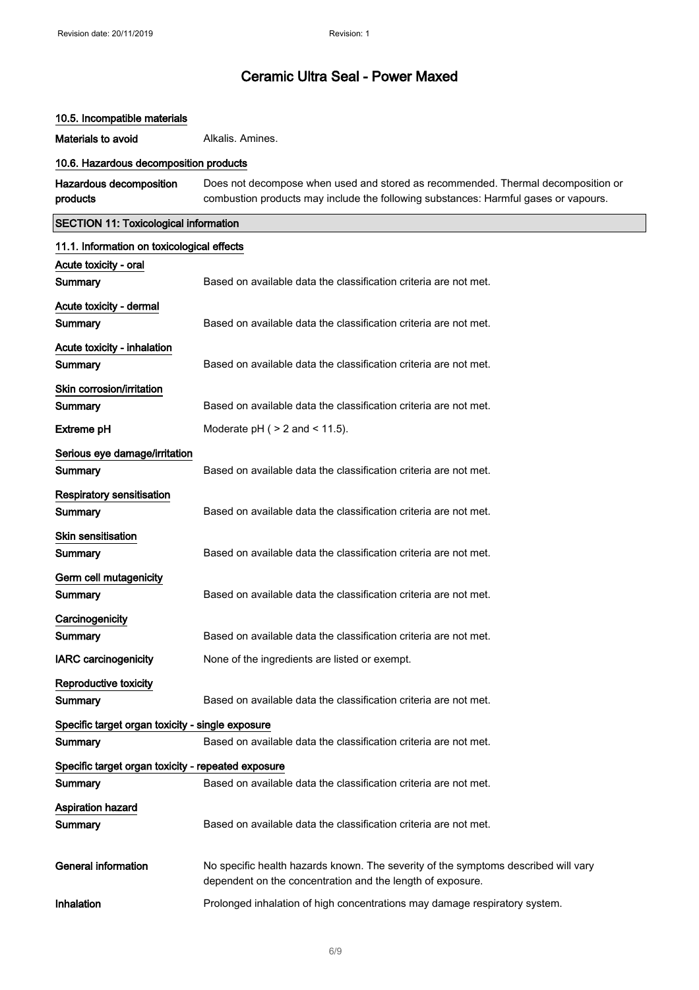# 10.5. Incompatible materials Materials to avoid **Alkalis**. Amines. 10.6. Hazardous decomposition products Hazardous decomposition products Does not decompose when used and stored as recommended. Thermal decomposition or combustion products may include the following substances: Harmful gases or vapours. SECTION 11: Toxicological information 11.1. Information on toxicological effects Acute toxicity - oral Summary **Based on available data the classification criteria are not met.** Acute toxicity - dermal **Summary** Based on available data the classification criteria are not met. Acute toxicity - inhalation Summary **Based on available data the classification criteria are not met.** Skin corrosion/irritation Summary **Based on available data the classification criteria are not met. Extreme pH** Moderate pH  $( > 2 \text{ and } < 11.5).$ Serious eye damage/irritation Summary **Based on available data the classification criteria are not met.** Respiratory sensitisation **Summary** Based on available data the classification criteria are not met. Skin sensitisation Summary **Based on available data the classification criteria are not met.** Germ cell mutagenicity **Summary** Based on available data the classification criteria are not met. **Carcinogenicity** Summary **Based on available data the classification criteria are not met.** IARC carcinogenicity None of the ingredients are listed or exempt. Reproductive toxicity Summary Based on available data the classification criteria are not met. Specific target organ toxicity - single exposure Summary **Based on available data the classification criteria are not met.** Specific target organ toxicity - repeated exposure Summary **Based on available data the classification criteria are not met.** Aspiration hazard Summary Based on available data the classification criteria are not met. General information **No specific health hazards known.** The severity of the symptoms described will vary dependent on the concentration and the length of exposure. Inhalation **Prolonged inhalation of high concentrations may damage respiratory system.**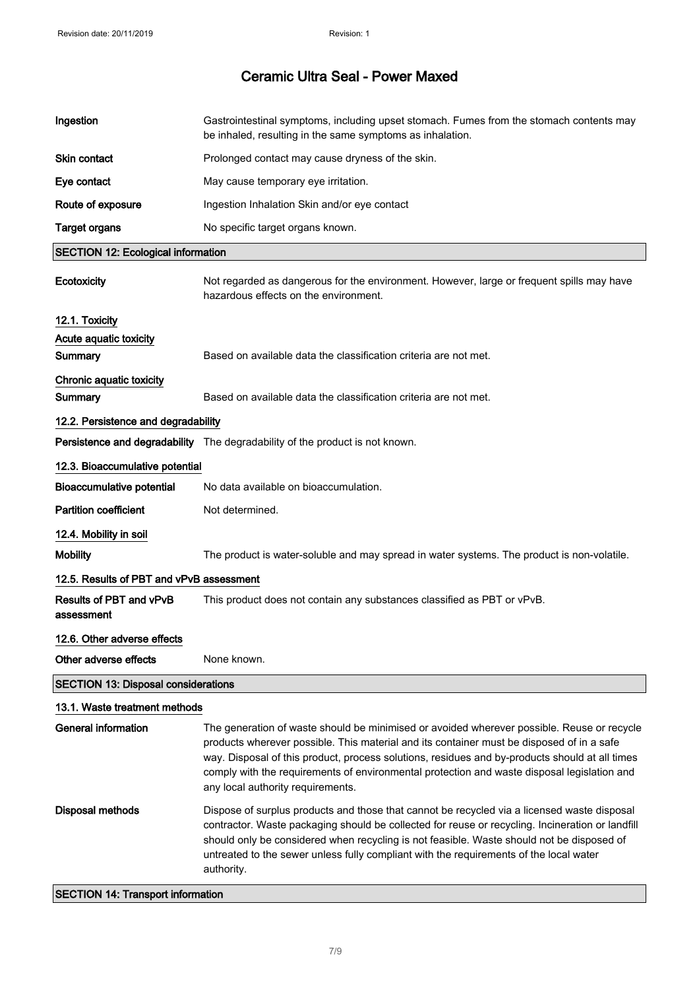| Ingestion                                  | Gastrointestinal symptoms, including upset stomach. Fumes from the stomach contents may<br>be inhaled, resulting in the same symptoms as inhalation.                                                                                                                                                                                                                                                                          |
|--------------------------------------------|-------------------------------------------------------------------------------------------------------------------------------------------------------------------------------------------------------------------------------------------------------------------------------------------------------------------------------------------------------------------------------------------------------------------------------|
| Skin contact                               | Prolonged contact may cause dryness of the skin.                                                                                                                                                                                                                                                                                                                                                                              |
| Eye contact                                | May cause temporary eye irritation.                                                                                                                                                                                                                                                                                                                                                                                           |
| Route of exposure                          | Ingestion Inhalation Skin and/or eye contact                                                                                                                                                                                                                                                                                                                                                                                  |
| <b>Target organs</b>                       | No specific target organs known.                                                                                                                                                                                                                                                                                                                                                                                              |
| <b>SECTION 12: Ecological information</b>  |                                                                                                                                                                                                                                                                                                                                                                                                                               |
| Ecotoxicity                                | Not regarded as dangerous for the environment. However, large or frequent spills may have<br>hazardous effects on the environment.                                                                                                                                                                                                                                                                                            |
| 12.1. Toxicity                             |                                                                                                                                                                                                                                                                                                                                                                                                                               |
| Acute aquatic toxicity                     |                                                                                                                                                                                                                                                                                                                                                                                                                               |
| Summary                                    | Based on available data the classification criteria are not met.                                                                                                                                                                                                                                                                                                                                                              |
| Chronic aquatic toxicity                   |                                                                                                                                                                                                                                                                                                                                                                                                                               |
| Summary                                    | Based on available data the classification criteria are not met.                                                                                                                                                                                                                                                                                                                                                              |
| 12.2. Persistence and degradability        |                                                                                                                                                                                                                                                                                                                                                                                                                               |
|                                            | Persistence and degradability The degradability of the product is not known.                                                                                                                                                                                                                                                                                                                                                  |
| 12.3. Bioaccumulative potential            |                                                                                                                                                                                                                                                                                                                                                                                                                               |
| <b>Bioaccumulative potential</b>           | No data available on bioaccumulation.                                                                                                                                                                                                                                                                                                                                                                                         |
| <b>Partition coefficient</b>               | Not determined.                                                                                                                                                                                                                                                                                                                                                                                                               |
| 12.4. Mobility in soil                     |                                                                                                                                                                                                                                                                                                                                                                                                                               |
| <b>Mobility</b>                            | The product is water-soluble and may spread in water systems. The product is non-volatile.                                                                                                                                                                                                                                                                                                                                    |
| 12.5. Results of PBT and vPvB assessment   |                                                                                                                                                                                                                                                                                                                                                                                                                               |
| Results of PBT and vPvB<br>assessment      | This product does not contain any substances classified as PBT or vPvB.                                                                                                                                                                                                                                                                                                                                                       |
| 12.6. Other adverse effects                |                                                                                                                                                                                                                                                                                                                                                                                                                               |
| Other adverse effects                      | None known.                                                                                                                                                                                                                                                                                                                                                                                                                   |
| <b>SECTION 13: Disposal considerations</b> |                                                                                                                                                                                                                                                                                                                                                                                                                               |
| 13.1. Waste treatment methods              |                                                                                                                                                                                                                                                                                                                                                                                                                               |
| <b>General information</b>                 | The generation of waste should be minimised or avoided wherever possible. Reuse or recycle<br>products wherever possible. This material and its container must be disposed of in a safe<br>way. Disposal of this product, process solutions, residues and by-products should at all times<br>comply with the requirements of environmental protection and waste disposal legislation and<br>any local authority requirements. |
| Disposal methods                           | Dispose of surplus products and those that cannot be recycled via a licensed waste disposal<br>contractor. Waste packaging should be collected for reuse or recycling. Incineration or landfill<br>should only be considered when recycling is not feasible. Waste should not be disposed of<br>untreated to the sewer unless fully compliant with the requirements of the local water<br>authority.                          |
| <b>SECTION 14: Transport information</b>   |                                                                                                                                                                                                                                                                                                                                                                                                                               |

#### SECTION 14: Transport information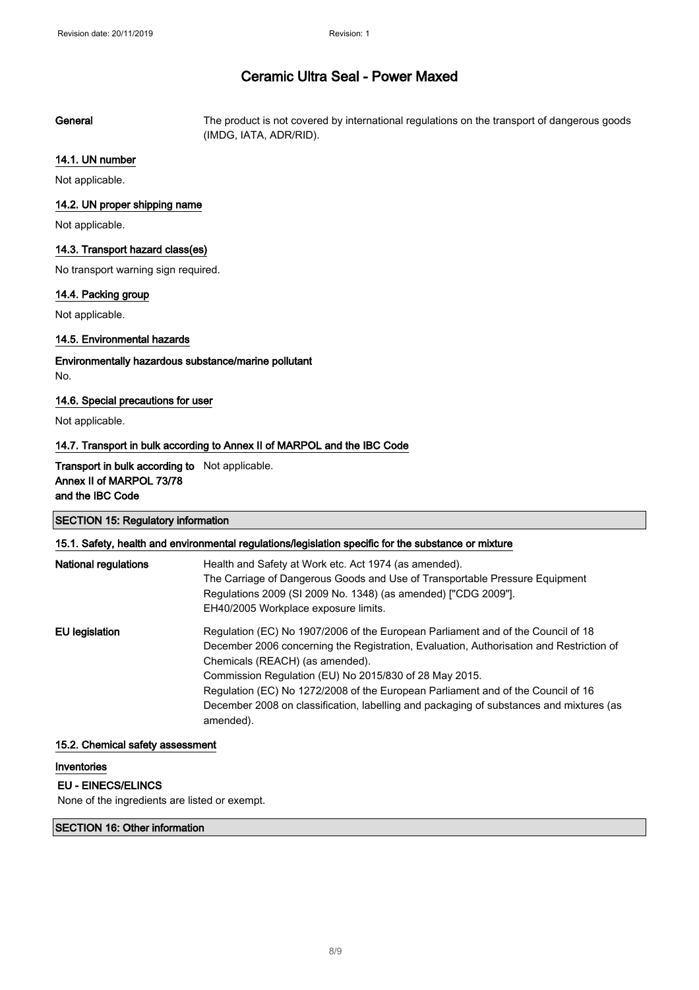General The product is not covered by international regulations on the transport of dangerous goods (IMDG, IATA, ADR/RID).

## 14.1. UN number

Not applicable.

## 14.2. UN proper shipping name

Not applicable.

## 14.3. Transport hazard class(es)

No transport warning sign required.

## 14.4. Packing group

Not applicable.

# 14.5. Environmental hazards

# Environmentally hazardous substance/marine pollutant No.

# 14.6. Special precautions for user

Not applicable.

## 14.7. Transport in bulk according to Annex II of MARPOL and the IBC Code

# Transport in bulk according to Not applicable. Annex II of MARPOL 73/78 and the IBC Code

| <b>SECTION 15: Regulatory information</b><br>15.1. Safety, health and environmental regulations/legislation specific for the substance or mixture |                                                                                                                                                                                                                                                                                                                                                                                                                                                                      |
|---------------------------------------------------------------------------------------------------------------------------------------------------|----------------------------------------------------------------------------------------------------------------------------------------------------------------------------------------------------------------------------------------------------------------------------------------------------------------------------------------------------------------------------------------------------------------------------------------------------------------------|
|                                                                                                                                                   |                                                                                                                                                                                                                                                                                                                                                                                                                                                                      |
| EU legislation                                                                                                                                    | Regulation (EC) No 1907/2006 of the European Parliament and of the Council of 18<br>December 2006 concerning the Registration, Evaluation, Authorisation and Restriction of<br>Chemicals (REACH) (as amended).<br>Commission Regulation (EU) No 2015/830 of 28 May 2015.<br>Regulation (EC) No 1272/2008 of the European Parliament and of the Council of 16<br>December 2008 on classification, labelling and packaging of substances and mixtures (as<br>amended). |

## 15.2. Chemical safety assessment

# Inventories

## EU - EINECS/ELINCS

None of the ingredients are listed or exempt.

## SECTION 16: Other information